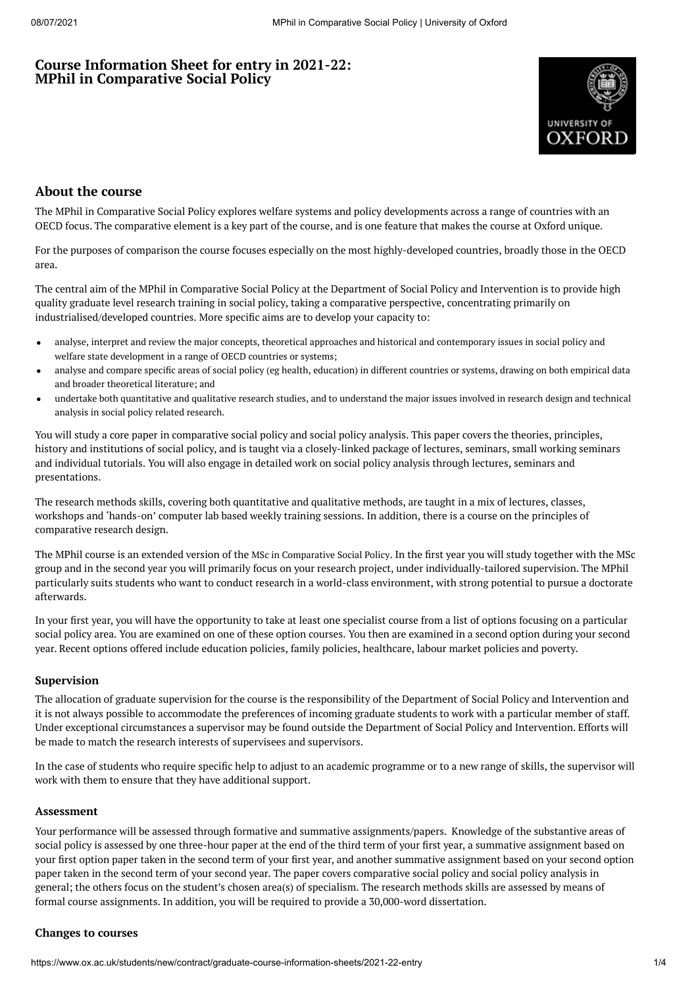# **Course Information Sheet for entry in 2021-22: MPhil in Comparative Social Policy**



# **About the course**

The MPhil in Comparative Social Policy explores welfare systems and policy developments across a range of countries with an OECD focus. The comparative element is a key part of the course, and is one feature that makes the course at Oxford unique.

For the purposes of comparison the course focuses especially on the most highly-developed countries, broadly those in the OECD area.

The central aim of the MPhil in Comparative Social Policy at the Department of Social Policy and Intervention is to provide high quality graduate level research training in social policy, taking a comparative perspective, concentrating primarily on industrialised/developed countries. More specific aims are to develop your capacity to:

- analyse, interpret and review the major concepts, theoretical approaches and historical and contemporary issues in social policy and  $\bullet$ welfare state development in a range of OECD countries or systems;
- analyse and compare specific areas of social policy (eg health, education) in different countries or systems, drawing on both empirical data and broader theoretical literature; and
- undertake both quantitative and qualitative research studies, and to understand the major issues involved in research design and technical  $\bullet$ analysis in social policy related research.

You will study a core paper in comparative social policy and social policy analysis. This paper covers the theories, principles, history and institutions of social policy, and is taught via a closely-linked package of lectures, seminars, small working seminars and individual tutorials. You will also engage in detailed work on social policy analysis through lectures, seminars and presentations.

The research methods skills, covering both quantitative and qualitative methods, are taught in a mix of lectures, classes, workshops and 'hands-on' computer lab based weekly training sessions. In addition, there is a course on the principles of comparative research design.

The MPhil course is an extended version of the MSc in [Comparative](https://www.ox.ac.uk/admissions/graduate/courses/msc-comparative-social-policy) Social Policy. In the first year you will study together with the MSc group and in the second year you will primarily focus on your research project, under individually-tailored supervision. The MPhil particularly suits students who want to conduct research in a world-class environment, with strong potential to pursue a doctorate afterwards.

In your first year, you will have the opportunity to take at least one specialist course from a list of options focusing on a particular social policy area. You are examined on one of these option courses. You then are examined in a second option during your second year. Recent options offered include education policies, family policies, healthcare, labour market policies and poverty.

#### **Supervision**

The allocation of graduate supervision for the course is the responsibility of the Department of Social Policy and Intervention and it is not always possible to accommodate the preferences of incoming graduate students to work with a particular member of staff. Under exceptional circumstances a supervisor may be found outside the Department of Social Policy and Intervention. Efforts will be made to match the research interests of supervisees and supervisors.

In the case of students who require specific help to adjust to an academic programme or to a new range of skills, the supervisor will work with them to ensure that they have additional support.

#### **Assessment**

Your performance will be assessed through formative and summative assignments/papers. Knowledge of the substantive areas of social policy is assessed by one three-hour paper at the end of the third term of your first year, a summative assignment based on your first option paper taken in the second term of your first year, and another summative assignment based on your second option paper taken in the second term of your second year. The paper covers comparative social policy and social policy analysis in general; the others focus on the student's chosen area(s) of specialism. The research methods skills are assessed by means of formal course assignments. In addition, you will be required to provide a 30,000-word dissertation.

## **Changes to courses**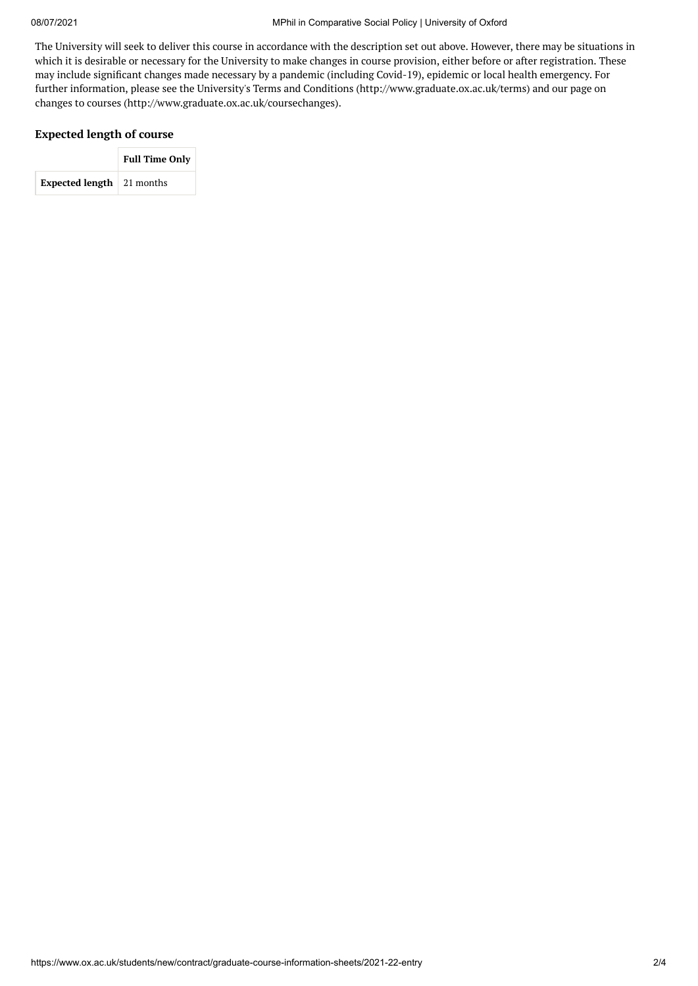The University will seek to deliver this course in accordance with the description set out above. However, there may be situations in which it is desirable or necessary for the University to make changes in course provision, either before or after registration. These may include significant changes made necessary by a pandemic (including Covid-19), epidemic or local health emergency. For further information, please see the University's Terms and Conditions (http://www.graduate.ox.ac.uk/terms) and our page on changes to courses (http://www.graduate.ox.ac.uk/coursechanges).

## **Expected length of course**

|                                     | <b>Full Time Only</b> |  |  |
|-------------------------------------|-----------------------|--|--|
| <b>Expected length</b> $ 21$ months |                       |  |  |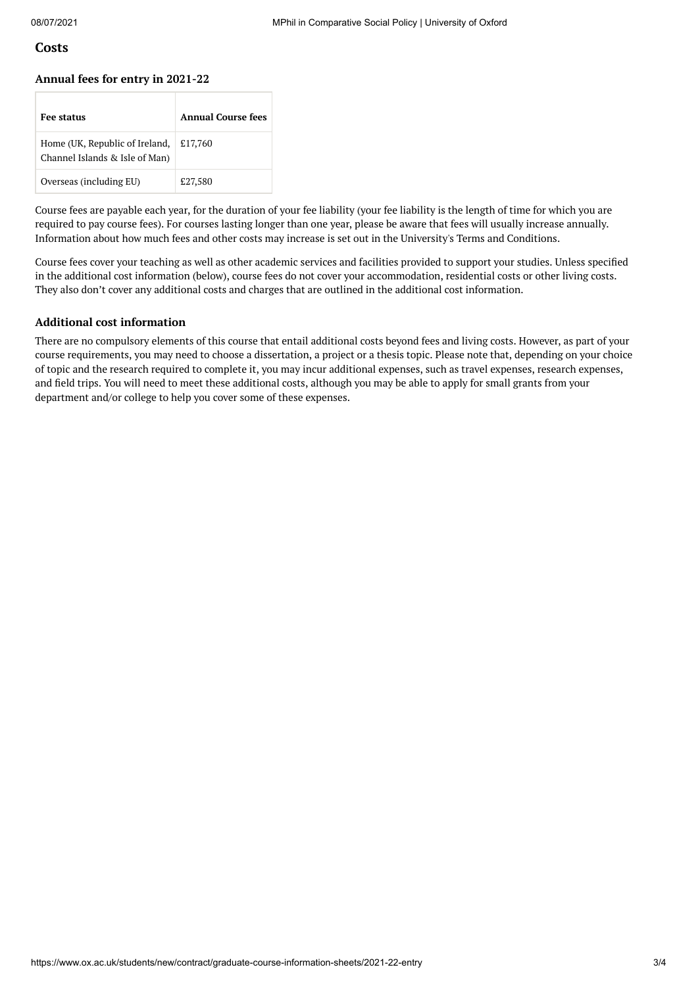## **Costs**

#### **Annual fees for entry in 2021-22**

| <b>Fee status</b>                                                | <b>Annual Course fees</b> |
|------------------------------------------------------------------|---------------------------|
| Home (UK, Republic of Ireland,<br>Channel Islands & Isle of Man) | £17,760                   |
| Overseas (including EU)                                          | £27,580                   |

Course fees are payable each year, for the duration of your fee liability (your fee liability is the length of time for which you are required to pay course fees). For courses lasting longer than one year, please be aware that fees will usually increase annually. Information about how much fees and other costs may increase is set out in the University's Terms and Conditions.

Course fees cover your teaching as well as other academic services and facilities provided to support your studies. Unless specified in the additional cost information (below), course fees do not cover your accommodation, residential costs or other living costs. They also don't cover any additional costs and charges that are outlined in the additional cost information.

### **Additional cost information**

There are no compulsory elements of this course that entail additional costs beyond fees and living costs. However, as part of your course requirements, you may need to choose a dissertation, a project or a thesis topic. Please note that, depending on your choice of topic and the research required to complete it, you may incur additional expenses, such as travel expenses, research expenses, and field trips. You will need to meet these additional costs, although you may be able to apply for small grants from your department and/or college to help you cover some of these expenses.